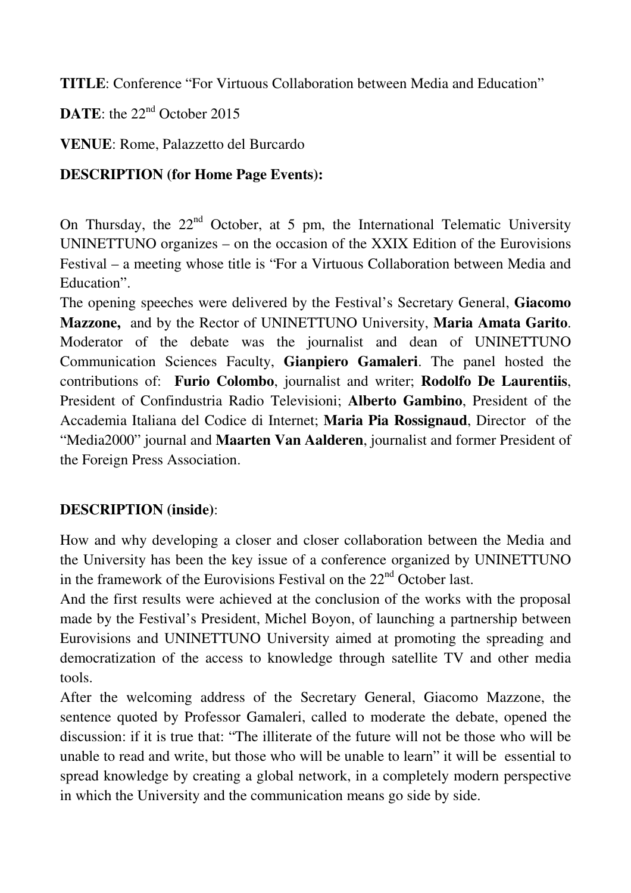**TITLE**: Conference "For Virtuous Collaboration between Media and Education"

**DATE:** the 22<sup>nd</sup> October 2015

**VENUE**: Rome, Palazzetto del Burcardo

## **DESCRIPTION (for Home Page Events):**

On Thursday, the  $22<sup>nd</sup>$  October, at 5 pm, the International Telematic University UNINETTUNO organizes – on the occasion of the XXIX Edition of the Eurovisions Festival – a meeting whose title is "For a Virtuous Collaboration between Media and Education".

The opening speeches were delivered by the Festival's Secretary General, **Giacomo Mazzone,** and by the Rector of UNINETTUNO University, **Maria Amata Garito**. Moderator of the debate was the journalist and dean of UNINETTUNO Communication Sciences Faculty, **Gianpiero Gamaleri**. The panel hosted the contributions of: **Furio Colombo**, journalist and writer; **Rodolfo De Laurentiis**, President of Confindustria Radio Televisioni; **Alberto Gambino**, President of the Accademia Italiana del Codice di Internet; **Maria Pia Rossignaud**, Director of the "Media2000" journal and **Maarten Van Aalderen**, journalist and former President of the Foreign Press Association.

## **DESCRIPTION (inside)**:

How and why developing a closer and closer collaboration between the Media and the University has been the key issue of a conference organized by UNINETTUNO in the framework of the Eurovisions Festival on the  $22<sup>nd</sup>$  October last.

And the first results were achieved at the conclusion of the works with the proposal made by the Festival's President, Michel Boyon, of launching a partnership between Eurovisions and UNINETTUNO University aimed at promoting the spreading and democratization of the access to knowledge through satellite TV and other media tools.

After the welcoming address of the Secretary General, Giacomo Mazzone, the sentence quoted by Professor Gamaleri, called to moderate the debate, opened the discussion: if it is true that: "The illiterate of the future will not be those who will be unable to read and write, but those who will be unable to learn" it will be essential to spread knowledge by creating a global network, in a completely modern perspective in which the University and the communication means go side by side.